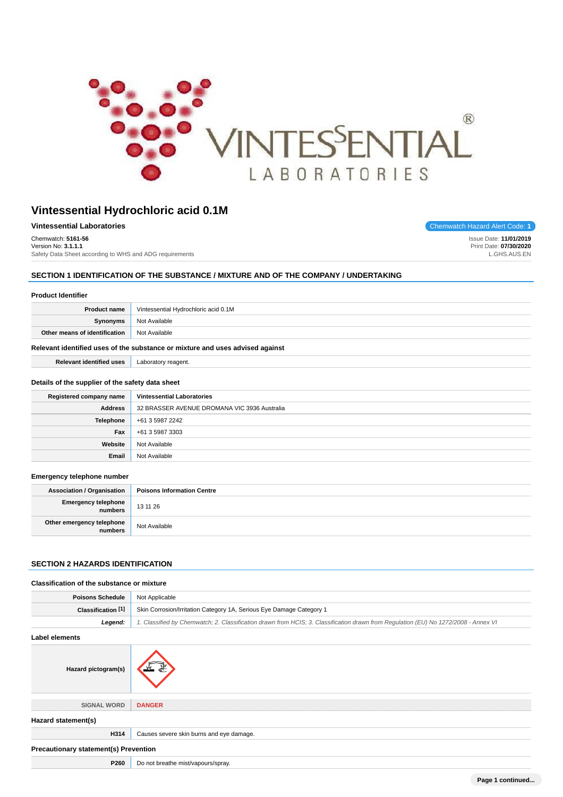

| <b>Vintessential Laboratories</b>                       |
|---------------------------------------------------------|
| Chemwatch: 5161-56                                      |
| Version No: 3.1.1.1                                     |
| Safety Data Sheet according to WHS and ADG requirements |

**Chemwatch Hazard Alert Code: 1** 

Issue Date: **11/01/2019** Print Date: **07/30/2020** L.GHS.AUS.EN

# **SECTION 1 IDENTIFICATION OF THE SUBSTANCE / MIXTURE AND OF THE COMPANY / UNDERTAKING**

| <b>Product Identifier</b>                                                     |                                              |  |
|-------------------------------------------------------------------------------|----------------------------------------------|--|
| <b>Product name</b>                                                           | Vintessential Hydrochloric acid 0.1M         |  |
| Synonyms                                                                      | Not Available                                |  |
| Other means of identification                                                 | Not Available                                |  |
| Relevant identified uses of the substance or mixture and uses advised against |                                              |  |
| <b>Relevant identified uses</b>                                               | Laboratory reagent.                          |  |
| Details of the supplier of the safety data sheet                              |                                              |  |
| Registered company name                                                       | <b>Vintessential Laboratories</b>            |  |
| <b>Address</b>                                                                | 32 BRASSER AVENUE DROMANA VIC 3936 Australia |  |
| Telephone                                                                     | +61 3 5987 2242                              |  |
| Fax                                                                           | +61 3 5987 3303                              |  |
| Website                                                                       | Not Available                                |  |
| Email                                                                         | Not Available                                |  |

#### **Emergency telephone number**

| <b>Association / Organisation</b>    | <b>Poisons Information Centre</b> |
|--------------------------------------|-----------------------------------|
| Emergency telephone<br>numbers       | 13 11 26                          |
| Other emergency telephone<br>numbers | Not Available                     |

# **SECTION 2 HAZARDS IDENTIFICATION**

#### **Classification of the substance or mixture**

| <b>Poisons Schedule</b>                      | Not Applicable                                                                                                                      |
|----------------------------------------------|-------------------------------------------------------------------------------------------------------------------------------------|
| Classification [1]                           | Skin Corrosion/Irritation Category 1A, Serious Eye Damage Category 1                                                                |
| Legend:                                      | 1. Classified by Chemwatch; 2. Classification drawn from HCIS; 3. Classification drawn from Regulation (EU) No 1272/2008 - Annex VI |
| Label elements                               |                                                                                                                                     |
| Hazard pictogram(s)                          |                                                                                                                                     |
| <b>SIGNAL WORD</b>                           | <b>DANGER</b>                                                                                                                       |
| Hazard statement(s)                          |                                                                                                                                     |
| H314                                         | Causes severe skin burns and eye damage.                                                                                            |
| <b>Precautionary statement(s) Prevention</b> |                                                                                                                                     |
| P260                                         | Do not breathe mist/vapours/spray.                                                                                                  |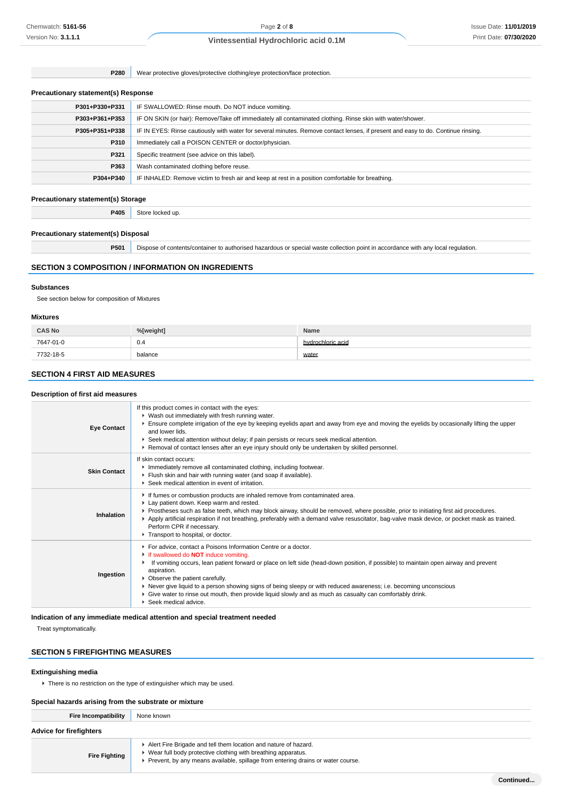**P280** Wear protective gloves/protective clothing/eye protection/face protection.

#### **Precautionary statement(s) Response**

| P301+P330+P331 | IF SWALLOWED: Rinse mouth. Do NOT induce vomiting.                                                                               |
|----------------|----------------------------------------------------------------------------------------------------------------------------------|
| P303+P361+P353 | IF ON SKIN (or hair): Remove/Take off immediately all contaminated clothing. Rinse skin with water/shower.                       |
| P305+P351+P338 | IF IN EYES: Rinse cautiously with water for several minutes. Remove contact lenses, if present and easy to do. Continue rinsing. |
| P310           | Immediately call a POISON CENTER or doctor/physician.                                                                            |
| P321           | Specific treatment (see advice on this label).                                                                                   |
| P363           | Wash contaminated clothing before reuse.                                                                                         |
| P304+P340      | IF INHALED: Remove victim to fresh air and keep at rest in a position comfortable for breathing.                                 |
|                |                                                                                                                                  |

#### **Precautionary statement(s) Storage**

**P405** Store locked up.

#### **Precautionary statement(s) Disposal**

**P501** Dispose of contents/container to authorised hazardous or special waste collection point in accordance with any local regulation.

#### **SECTION 3 COMPOSITION / INFORMATION ON INGREDIENTS**

#### **Substances**

See section below for composition of Mixtures

#### **Mixtures**

| <b>CAS No</b> | %[weight] | Name              |
|---------------|-----------|-------------------|
| 7647-01-0     | 0.4       | hydrochloric acid |
| 7732-18-5     | balance   | water             |

#### **SECTION 4 FIRST AID MEASURES**

#### **Description of first aid measures**

| <b>Eye Contact</b>  | If this product comes in contact with the eyes:<br>• Wash out immediately with fresh running water.<br>Ensure complete irrigation of the eye by keeping eyelids apart and away from eye and moving the eyelids by occasionally lifting the upper<br>and lower lids.<br>▶ Seek medical attention without delay; if pain persists or recurs seek medical attention.<br>▶ Removal of contact lenses after an eye injury should only be undertaken by skilled personnel.                                                                                                |
|---------------------|---------------------------------------------------------------------------------------------------------------------------------------------------------------------------------------------------------------------------------------------------------------------------------------------------------------------------------------------------------------------------------------------------------------------------------------------------------------------------------------------------------------------------------------------------------------------|
| <b>Skin Contact</b> | If skin contact occurs:<br>Inmediately remove all contaminated clothing, including footwear.<br>Flush skin and hair with running water (and soap if available).<br>▶ Seek medical attention in event of irritation.                                                                                                                                                                                                                                                                                                                                                 |
| Inhalation          | If fumes or combustion products are inhaled remove from contaminated area.<br>Lay patient down. Keep warm and rested.<br>▶ Prostheses such as false teeth, which may block airway, should be removed, where possible, prior to initiating first aid procedures.<br>▶ Apply artificial respiration if not breathing, preferably with a demand valve resuscitator, bag-valve mask device, or pocket mask as trained.<br>Perform CPR if necessary.<br>Transport to hospital, or doctor.                                                                                |
| Ingestion           | For advice, contact a Poisons Information Centre or a doctor.<br>If swallowed do <b>NOT</b> induce vomiting.<br>If vomiting occurs, lean patient forward or place on left side (head-down position, if possible) to maintain open airway and prevent<br>aspiration.<br>• Observe the patient carefully.<br>▶ Never give liquid to a person showing signs of being sleepy or with reduced awareness; i.e. becoming unconscious<br>• Give water to rinse out mouth, then provide liquid slowly and as much as casualty can comfortably drink.<br>Seek medical advice. |

**Indication of any immediate medical attention and special treatment needed**

Treat symptomatically.

#### **SECTION 5 FIREFIGHTING MEASURES**

#### **Extinguishing media**

There is no restriction on the type of extinguisher which may be used.

#### **Special hazards arising from the substrate or mixture**

| Fire Incompatibility           | None known                                                                      |  |
|--------------------------------|---------------------------------------------------------------------------------|--|
| <b>Advice for firefighters</b> |                                                                                 |  |
|                                | Alert Fire Brigade and tell them location and nature of hazard.                 |  |
| <b>Fire Fighting</b>           | ▶ Wear full body protective clothing with breathing apparatus.                  |  |
|                                | Prevent, by any means available, spillage from entering drains or water course. |  |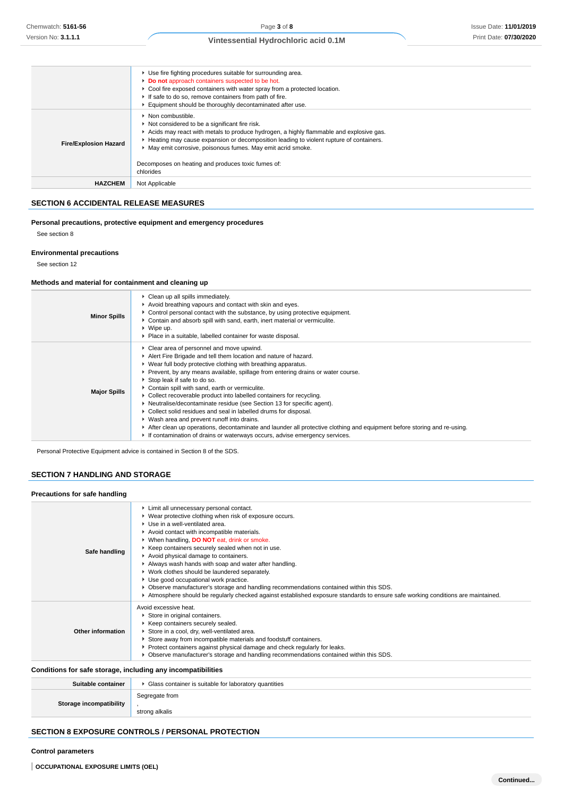|                              | ▶ Use fire fighting procedures suitable for surrounding area.<br>Do not approach containers suspected to be hot.<br>• Cool fire exposed containers with water spray from a protected location.<br>If safe to do so, remove containers from path of fire.<br>Equipment should be thoroughly decontaminated after use.                                                                                           |
|------------------------------|----------------------------------------------------------------------------------------------------------------------------------------------------------------------------------------------------------------------------------------------------------------------------------------------------------------------------------------------------------------------------------------------------------------|
| <b>Fire/Explosion Hazard</b> | $\blacktriangleright$ Non combustible.<br>Not considered to be a significant fire risk.<br>Acids may react with metals to produce hydrogen, a highly flammable and explosive gas.<br>► Heating may cause expansion or decomposition leading to violent rupture of containers.<br>May emit corrosive, poisonous fumes. May emit acrid smoke.<br>Decomposes on heating and produces toxic fumes of:<br>chlorides |
| <b>HAZCHEM</b>               | Not Applicable                                                                                                                                                                                                                                                                                                                                                                                                 |

# **SECTION 6 ACCIDENTAL RELEASE MEASURES**

#### **Personal precautions, protective equipment and emergency procedures**

See section 8

#### **Environmental precautions**

See section 12

#### **Methods and material for containment and cleaning up**

| <b>Minor Spills</b> | Clean up all spills immediately.<br>Avoid breathing vapours and contact with skin and eyes.<br>• Control personal contact with the substance, by using protective equipment.<br>• Contain and absorb spill with sand, earth, inert material or vermiculite.<br>$\blacktriangleright$ Wipe up.<br>▶ Place in a suitable, labelled container for waste disposal.                                                                                                                                                                                                                                                                                                                                                                                                                                                                         |
|---------------------|----------------------------------------------------------------------------------------------------------------------------------------------------------------------------------------------------------------------------------------------------------------------------------------------------------------------------------------------------------------------------------------------------------------------------------------------------------------------------------------------------------------------------------------------------------------------------------------------------------------------------------------------------------------------------------------------------------------------------------------------------------------------------------------------------------------------------------------|
| <b>Major Spills</b> | • Clear area of personnel and move upwind.<br>Alert Fire Brigade and tell them location and nature of hazard.<br>▶ Wear full body protective clothing with breathing apparatus.<br>▶ Prevent, by any means available, spillage from entering drains or water course.<br>Stop leak if safe to do so.<br>Contain spill with sand, earth or vermiculite.<br>▶ Collect recoverable product into labelled containers for recycling.<br>• Neutralise/decontaminate residue (see Section 13 for specific agent).<br>▶ Collect solid residues and seal in labelled drums for disposal.<br>▶ Wash area and prevent runoff into drains.<br>After clean up operations, decontaminate and launder all protective clothing and equipment before storing and re-using.<br>If contamination of drains or waterways occurs, advise emergency services. |

Personal Protective Equipment advice is contained in Section 8 of the SDS.

#### **SECTION 7 HANDLING AND STORAGE**

# **Precautions for safe handling**

| Limit all unnecessary personal contact.<br>▶ Wear protective clothing when risk of exposure occurs.<br>Use in a well-ventilated area.<br>Avoid contact with incompatible materials.<br>▶ When handling, DO NOT eat, drink or smoke. |
|-------------------------------------------------------------------------------------------------------------------------------------------------------------------------------------------------------------------------------------|
|                                                                                                                                                                                                                                     |
|                                                                                                                                                                                                                                     |
|                                                                                                                                                                                                                                     |
|                                                                                                                                                                                                                                     |
|                                                                                                                                                                                                                                     |
| ▶ Keep containers securely sealed when not in use.<br>Safe handling                                                                                                                                                                 |
| Avoid physical damage to containers.                                                                                                                                                                                                |
| Always wash hands with soap and water after handling.                                                                                                                                                                               |
| • Work clothes should be laundered separately.                                                                                                                                                                                      |
| Use good occupational work practice.                                                                                                                                                                                                |
| ► Observe manufacturer's storage and handling recommendations contained within this SDS.                                                                                                                                            |
| Atmosphere should be reqularly checked against established exposure standards to ensure safe working conditions are maintained.                                                                                                     |
| Avoid excessive heat.                                                                                                                                                                                                               |
| Store in original containers.                                                                                                                                                                                                       |
| Keep containers securely sealed.                                                                                                                                                                                                    |
| Other information<br>Store in a cool, dry, well-ventilated area.                                                                                                                                                                    |
| Store away from incompatible materials and foodstuff containers.                                                                                                                                                                    |
| ► Protect containers against physical damage and check regularly for leaks.                                                                                                                                                         |
| ► Observe manufacturer's storage and handling recommendations contained within this SDS.                                                                                                                                            |
| Conditions for safe storage, including any incompatibilities                                                                                                                                                                        |

#### **Conditions for safe storage, including any incompatibilities**

| Suitable container             | • Glass container is suitable for laboratory quantities |
|--------------------------------|---------------------------------------------------------|
|                                | Segregate from                                          |
| <b>Storage incompatibility</b> | strong alkalis                                          |

# **SECTION 8 EXPOSURE CONTROLS / PERSONAL PROTECTION**

#### **Control parameters**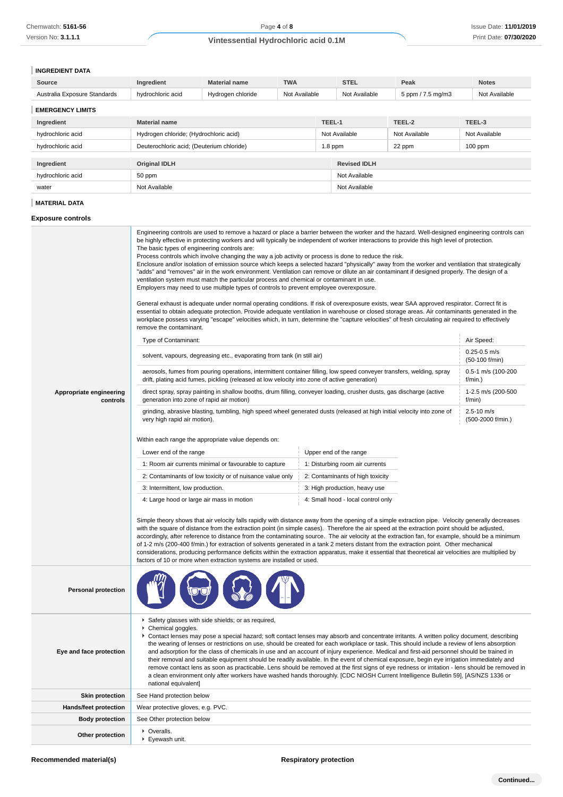# **INGREDIENT DATA**

| Source                                                                                                                                                                                                   | Ingredient                                                                                                                                                                                                                                                                                                                                                                                                                                                                                                                                                                                                                                                                                                                                                                                                                                                                                                                                                                      | <b>Material name</b>                                                                                                                                                                                                                                                                                                                                                                                                                                                                                                                                                                                                                                                                                                                                                                                                                                                                                                                                                                                                                                                                                                                                                                                                                                                                                                                                 | <b>TWA</b>    |                               | <b>STEL</b>                        | Peak              | <b>Notes</b>  |
|----------------------------------------------------------------------------------------------------------------------------------------------------------------------------------------------------------|---------------------------------------------------------------------------------------------------------------------------------------------------------------------------------------------------------------------------------------------------------------------------------------------------------------------------------------------------------------------------------------------------------------------------------------------------------------------------------------------------------------------------------------------------------------------------------------------------------------------------------------------------------------------------------------------------------------------------------------------------------------------------------------------------------------------------------------------------------------------------------------------------------------------------------------------------------------------------------|------------------------------------------------------------------------------------------------------------------------------------------------------------------------------------------------------------------------------------------------------------------------------------------------------------------------------------------------------------------------------------------------------------------------------------------------------------------------------------------------------------------------------------------------------------------------------------------------------------------------------------------------------------------------------------------------------------------------------------------------------------------------------------------------------------------------------------------------------------------------------------------------------------------------------------------------------------------------------------------------------------------------------------------------------------------------------------------------------------------------------------------------------------------------------------------------------------------------------------------------------------------------------------------------------------------------------------------------------|---------------|-------------------------------|------------------------------------|-------------------|---------------|
| Australia Exposure Standards                                                                                                                                                                             | hydrochloric acid                                                                                                                                                                                                                                                                                                                                                                                                                                                                                                                                                                                                                                                                                                                                                                                                                                                                                                                                                               | Hydrogen chloride                                                                                                                                                                                                                                                                                                                                                                                                                                                                                                                                                                                                                                                                                                                                                                                                                                                                                                                                                                                                                                                                                                                                                                                                                                                                                                                                    | Not Available |                               | Not Available                      | 5 ppm / 7.5 mg/m3 | Not Available |
| <b>EMERGENCY LIMITS</b>                                                                                                                                                                                  |                                                                                                                                                                                                                                                                                                                                                                                                                                                                                                                                                                                                                                                                                                                                                                                                                                                                                                                                                                                 |                                                                                                                                                                                                                                                                                                                                                                                                                                                                                                                                                                                                                                                                                                                                                                                                                                                                                                                                                                                                                                                                                                                                                                                                                                                                                                                                                      |               |                               |                                    |                   |               |
| Ingredient                                                                                                                                                                                               | <b>Material name</b><br>TEEL-1<br>TEEL-2                                                                                                                                                                                                                                                                                                                                                                                                                                                                                                                                                                                                                                                                                                                                                                                                                                                                                                                                        |                                                                                                                                                                                                                                                                                                                                                                                                                                                                                                                                                                                                                                                                                                                                                                                                                                                                                                                                                                                                                                                                                                                                                                                                                                                                                                                                                      |               | TEEL-3                        |                                    |                   |               |
| hydrochloric acid                                                                                                                                                                                        | Hydrogen chloride; (Hydrochloric acid)<br>Not Available<br>Not Available                                                                                                                                                                                                                                                                                                                                                                                                                                                                                                                                                                                                                                                                                                                                                                                                                                                                                                        |                                                                                                                                                                                                                                                                                                                                                                                                                                                                                                                                                                                                                                                                                                                                                                                                                                                                                                                                                                                                                                                                                                                                                                                                                                                                                                                                                      |               | Not Available                 |                                    |                   |               |
| hydrochloric acid                                                                                                                                                                                        | Deuterochloric acid; (Deuterium chloride)                                                                                                                                                                                                                                                                                                                                                                                                                                                                                                                                                                                                                                                                                                                                                                                                                                                                                                                                       |                                                                                                                                                                                                                                                                                                                                                                                                                                                                                                                                                                                                                                                                                                                                                                                                                                                                                                                                                                                                                                                                                                                                                                                                                                                                                                                                                      |               | $1.8$ ppm                     |                                    | 22 ppm            | $100$ ppm     |
| Ingredient                                                                                                                                                                                               | <b>Original IDLH</b>                                                                                                                                                                                                                                                                                                                                                                                                                                                                                                                                                                                                                                                                                                                                                                                                                                                                                                                                                            |                                                                                                                                                                                                                                                                                                                                                                                                                                                                                                                                                                                                                                                                                                                                                                                                                                                                                                                                                                                                                                                                                                                                                                                                                                                                                                                                                      |               |                               | <b>Revised IDLH</b>                |                   |               |
| hydrochloric acid                                                                                                                                                                                        | 50 ppm                                                                                                                                                                                                                                                                                                                                                                                                                                                                                                                                                                                                                                                                                                                                                                                                                                                                                                                                                                          |                                                                                                                                                                                                                                                                                                                                                                                                                                                                                                                                                                                                                                                                                                                                                                                                                                                                                                                                                                                                                                                                                                                                                                                                                                                                                                                                                      |               |                               | Not Available                      |                   |               |
| water                                                                                                                                                                                                    | Not Available                                                                                                                                                                                                                                                                                                                                                                                                                                                                                                                                                                                                                                                                                                                                                                                                                                                                                                                                                                   |                                                                                                                                                                                                                                                                                                                                                                                                                                                                                                                                                                                                                                                                                                                                                                                                                                                                                                                                                                                                                                                                                                                                                                                                                                                                                                                                                      |               |                               | Not Available                      |                   |               |
| <b>MATERIAL DATA</b>                                                                                                                                                                                     |                                                                                                                                                                                                                                                                                                                                                                                                                                                                                                                                                                                                                                                                                                                                                                                                                                                                                                                                                                                 |                                                                                                                                                                                                                                                                                                                                                                                                                                                                                                                                                                                                                                                                                                                                                                                                                                                                                                                                                                                                                                                                                                                                                                                                                                                                                                                                                      |               |                               |                                    |                   |               |
| <b>Exposure controls</b>                                                                                                                                                                                 |                                                                                                                                                                                                                                                                                                                                                                                                                                                                                                                                                                                                                                                                                                                                                                                                                                                                                                                                                                                 |                                                                                                                                                                                                                                                                                                                                                                                                                                                                                                                                                                                                                                                                                                                                                                                                                                                                                                                                                                                                                                                                                                                                                                                                                                                                                                                                                      |               |                               |                                    |                   |               |
|                                                                                                                                                                                                          | The basic types of engineering controls are:<br>remove the contaminant.<br>Type of Contaminant:                                                                                                                                                                                                                                                                                                                                                                                                                                                                                                                                                                                                                                                                                                                                                                                                                                                                                 | Engineering controls are used to remove a hazard or place a barrier between the worker and the hazard. Well-designed engineering controls can<br>be highly effective in protecting workers and will typically be independent of worker interactions to provide this high level of protection.<br>Process controls which involve changing the way a job activity or process is done to reduce the risk.<br>Enclosure and/or isolation of emission source which keeps a selected hazard "physically" away from the worker and ventilation that strategically<br>"adds" and "removes" air in the work environment. Ventilation can remove or dilute an air contaminant if designed properly. The design of a<br>ventilation system must match the particular process and chemical or contaminant in use.<br>Employers may need to use multiple types of controls to prevent employee overexposure.<br>General exhaust is adequate under normal operating conditions. If risk of overexposure exists, wear SAA approved respirator. Correct fit is<br>essential to obtain adequate protection. Provide adequate ventilation in warehouse or closed storage areas. Air contaminants generated in the<br>workplace possess varying "escape" velocities which, in turn, determine the "capture velocities" of fresh circulating air required to effectively |               |                               |                                    |                   | Air Speed:    |
|                                                                                                                                                                                                          | solvent, vapours, degreasing etc., evaporating from tank (in still air)                                                                                                                                                                                                                                                                                                                                                                                                                                                                                                                                                                                                                                                                                                                                                                                                                                                                                                         |                                                                                                                                                                                                                                                                                                                                                                                                                                                                                                                                                                                                                                                                                                                                                                                                                                                                                                                                                                                                                                                                                                                                                                                                                                                                                                                                                      |               |                               | $0.25 - 0.5$ m/s<br>(50-100 f/min) |                   |               |
|                                                                                                                                                                                                          |                                                                                                                                                                                                                                                                                                                                                                                                                                                                                                                                                                                                                                                                                                                                                                                                                                                                                                                                                                                 | aerosols, fumes from pouring operations, intermittent container filling, low speed conveyer transfers, welding, spray<br>drift, plating acid fumes, pickling (released at low velocity into zone of active generation)                                                                                                                                                                                                                                                                                                                                                                                                                                                                                                                                                                                                                                                                                                                                                                                                                                                                                                                                                                                                                                                                                                                               |               | 0.5-1 m/s (100-200<br>f/min.) |                                    |                   |               |
| direct spray, spray painting in shallow booths, drum filling, conveyer loading, crusher dusts, gas discharge (active<br>Appropriate engineering<br>generation into zone of rapid air motion)<br>controls |                                                                                                                                                                                                                                                                                                                                                                                                                                                                                                                                                                                                                                                                                                                                                                                                                                                                                                                                                                                 |                                                                                                                                                                                                                                                                                                                                                                                                                                                                                                                                                                                                                                                                                                                                                                                                                                                                                                                                                                                                                                                                                                                                                                                                                                                                                                                                                      |               | 1-2.5 m/s (200-500<br>f/min)  |                                    |                   |               |
|                                                                                                                                                                                                          | 2.5-10 m/s<br>grinding, abrasive blasting, tumbling, high speed wheel generated dusts (released at high initial velocity into zone of<br>(500-2000 f/min.)<br>very high rapid air motion).                                                                                                                                                                                                                                                                                                                                                                                                                                                                                                                                                                                                                                                                                                                                                                                      |                                                                                                                                                                                                                                                                                                                                                                                                                                                                                                                                                                                                                                                                                                                                                                                                                                                                                                                                                                                                                                                                                                                                                                                                                                                                                                                                                      |               |                               |                                    |                   |               |
|                                                                                                                                                                                                          |                                                                                                                                                                                                                                                                                                                                                                                                                                                                                                                                                                                                                                                                                                                                                                                                                                                                                                                                                                                 | Within each range the appropriate value depends on:                                                                                                                                                                                                                                                                                                                                                                                                                                                                                                                                                                                                                                                                                                                                                                                                                                                                                                                                                                                                                                                                                                                                                                                                                                                                                                  |               |                               |                                    |                   |               |
| Lower end of the range                                                                                                                                                                                   |                                                                                                                                                                                                                                                                                                                                                                                                                                                                                                                                                                                                                                                                                                                                                                                                                                                                                                                                                                                 |                                                                                                                                                                                                                                                                                                                                                                                                                                                                                                                                                                                                                                                                                                                                                                                                                                                                                                                                                                                                                                                                                                                                                                                                                                                                                                                                                      |               |                               | Upper end of the range             |                   |               |
|                                                                                                                                                                                                          |                                                                                                                                                                                                                                                                                                                                                                                                                                                                                                                                                                                                                                                                                                                                                                                                                                                                                                                                                                                 | 1: Room air currents minimal or favourable to capture                                                                                                                                                                                                                                                                                                                                                                                                                                                                                                                                                                                                                                                                                                                                                                                                                                                                                                                                                                                                                                                                                                                                                                                                                                                                                                |               |                               | 1: Disturbing room air currents    |                   |               |
|                                                                                                                                                                                                          |                                                                                                                                                                                                                                                                                                                                                                                                                                                                                                                                                                                                                                                                                                                                                                                                                                                                                                                                                                                 | 2: Contaminants of low toxicity or of nuisance value only                                                                                                                                                                                                                                                                                                                                                                                                                                                                                                                                                                                                                                                                                                                                                                                                                                                                                                                                                                                                                                                                                                                                                                                                                                                                                            |               |                               | 2: Contaminants of high toxicity   |                   |               |
|                                                                                                                                                                                                          | 3: Intermittent, low production.<br>3: High production, heavy use                                                                                                                                                                                                                                                                                                                                                                                                                                                                                                                                                                                                                                                                                                                                                                                                                                                                                                               |                                                                                                                                                                                                                                                                                                                                                                                                                                                                                                                                                                                                                                                                                                                                                                                                                                                                                                                                                                                                                                                                                                                                                                                                                                                                                                                                                      |               |                               |                                    |                   |               |
|                                                                                                                                                                                                          | 4: Large hood or large air mass in motion                                                                                                                                                                                                                                                                                                                                                                                                                                                                                                                                                                                                                                                                                                                                                                                                                                                                                                                                       |                                                                                                                                                                                                                                                                                                                                                                                                                                                                                                                                                                                                                                                                                                                                                                                                                                                                                                                                                                                                                                                                                                                                                                                                                                                                                                                                                      |               |                               | 4: Small hood - local control only |                   |               |
|                                                                                                                                                                                                          |                                                                                                                                                                                                                                                                                                                                                                                                                                                                                                                                                                                                                                                                                                                                                                                                                                                                                                                                                                                 | Simple theory shows that air velocity falls rapidly with distance away from the opening of a simple extraction pipe. Velocity generally decreases<br>with the square of distance from the extraction point (in simple cases). Therefore the air speed at the extraction point should be adjusted,<br>accordingly, after reference to distance from the contaminating source. The air velocity at the extraction fan, for example, should be a minimum<br>of 1-2 m/s (200-400 f/min.) for extraction of solvents generated in a tank 2 meters distant from the extraction point. Other mechanical<br>considerations, producing performance deficits within the extraction apparatus, make it essential that theoretical air velocities are multiplied by<br>factors of 10 or more when extraction systems are installed or used.                                                                                                                                                                                                                                                                                                                                                                                                                                                                                                                      |               |                               |                                    |                   |               |
| <b>Personal protection</b>                                                                                                                                                                               |                                                                                                                                                                                                                                                                                                                                                                                                                                                                                                                                                                                                                                                                                                                                                                                                                                                                                                                                                                                 |                                                                                                                                                                                                                                                                                                                                                                                                                                                                                                                                                                                                                                                                                                                                                                                                                                                                                                                                                                                                                                                                                                                                                                                                                                                                                                                                                      |               |                               |                                    |                   |               |
| Eye and face protection                                                                                                                                                                                  | Safety glasses with side shields; or as required,<br>Chemical goggles.<br>▶ Contact lenses may pose a special hazard; soft contact lenses may absorb and concentrate irritants. A written policy document, describing<br>the wearing of lenses or restrictions on use, should be created for each workplace or task. This should include a review of lens absorption<br>and adsorption for the class of chemicals in use and an account of injury experience. Medical and first-aid personnel should be trained in<br>their removal and suitable equipment should be readily available. In the event of chemical exposure, begin eye irrigation immediately and<br>remove contact lens as soon as practicable. Lens should be removed at the first signs of eye redness or irritation - lens should be removed in<br>a clean environment only after workers have washed hands thoroughly. [CDC NIOSH Current Intelligence Bulletin 59], [AS/NZS 1336 or<br>national equivalent] |                                                                                                                                                                                                                                                                                                                                                                                                                                                                                                                                                                                                                                                                                                                                                                                                                                                                                                                                                                                                                                                                                                                                                                                                                                                                                                                                                      |               |                               |                                    |                   |               |
| <b>Skin protection</b>                                                                                                                                                                                   | See Hand protection below                                                                                                                                                                                                                                                                                                                                                                                                                                                                                                                                                                                                                                                                                                                                                                                                                                                                                                                                                       |                                                                                                                                                                                                                                                                                                                                                                                                                                                                                                                                                                                                                                                                                                                                                                                                                                                                                                                                                                                                                                                                                                                                                                                                                                                                                                                                                      |               |                               |                                    |                   |               |
| Hands/feet protection                                                                                                                                                                                    | Wear protective gloves, e.g. PVC.                                                                                                                                                                                                                                                                                                                                                                                                                                                                                                                                                                                                                                                                                                                                                                                                                                                                                                                                               |                                                                                                                                                                                                                                                                                                                                                                                                                                                                                                                                                                                                                                                                                                                                                                                                                                                                                                                                                                                                                                                                                                                                                                                                                                                                                                                                                      |               |                               |                                    |                   |               |
| <b>Body protection</b>                                                                                                                                                                                   | See Other protection below                                                                                                                                                                                                                                                                                                                                                                                                                                                                                                                                                                                                                                                                                                                                                                                                                                                                                                                                                      |                                                                                                                                                                                                                                                                                                                                                                                                                                                                                                                                                                                                                                                                                                                                                                                                                                                                                                                                                                                                                                                                                                                                                                                                                                                                                                                                                      |               |                               |                                    |                   |               |
| Other protection                                                                                                                                                                                         | • Overalls.<br>Eyewash unit.                                                                                                                                                                                                                                                                                                                                                                                                                                                                                                                                                                                                                                                                                                                                                                                                                                                                                                                                                    |                                                                                                                                                                                                                                                                                                                                                                                                                                                                                                                                                                                                                                                                                                                                                                                                                                                                                                                                                                                                                                                                                                                                                                                                                                                                                                                                                      |               |                               |                                    |                   |               |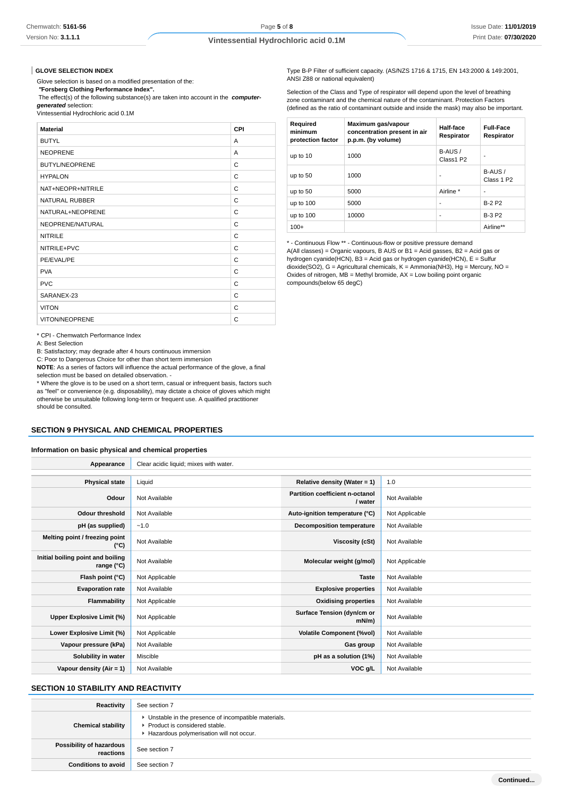#### **GLOVE SELECTION INDEX**

Glove selection is based on a modified presentation of the:

 **"Forsberg Clothing Performance Index".**

 The effect(s) of the following substance(s) are taken into account in the **computergenerated** selection:

Vintessential Hydrochloric acid 0.1M

| <b>Material</b>       | <b>CPI</b> |
|-----------------------|------------|
| <b>BUTYL</b>          | A          |
| <b>NEOPRENE</b>       | A          |
| <b>BUTYL/NEOPRENE</b> | C          |
| <b>HYPALON</b>        | C          |
| NAT+NEOPR+NITRILE     | C          |
| <b>NATURAL RUBBER</b> | C          |
| NATURAL+NEOPRENE      | C          |
| NEOPRENE/NATURAL      | C          |
| <b>NITRILE</b>        | C          |
| NITRILE+PVC           | C          |
| PE/EVAL/PE            | C          |
| <b>PVA</b>            | C          |
| <b>PVC</b>            | C          |
| SARANEX-23            | C          |
| <b>VITON</b>          | C          |
| <b>VITON/NEOPRENE</b> | C          |

\* CPI - Chemwatch Performance Index

A: Best Selection

B: Satisfactory; may degrade after 4 hours continuous immersion

C: Poor to Dangerous Choice for other than short term immersion

**NOTE**: As a series of factors will influence the actual performance of the glove, a final selection must be based on detailed observation. -

\* Where the glove is to be used on a short term, casual or infrequent basis, factors such as "feel" or convenience (e.g. disposability), may dictate a choice of gloves which might otherwise be unsuitable following long-term or frequent use. A qualified practitioner should be consulted.

#### **SECTION 9 PHYSICAL AND CHEMICAL PROPERTIES**

#### **Information on basic physical and chemical properties**

| Appearance                                      | Clear acidic liquid; mixes with water. |                                                   |                |
|-------------------------------------------------|----------------------------------------|---------------------------------------------------|----------------|
|                                                 |                                        |                                                   |                |
| <b>Physical state</b>                           | Liquid                                 | Relative density (Water = 1)                      | 1.0            |
| Odour                                           | Not Available                          | <b>Partition coefficient n-octanol</b><br>/ water | Not Available  |
| <b>Odour threshold</b>                          | Not Available                          | Auto-ignition temperature (°C)                    | Not Applicable |
| pH (as supplied)                                | $-1.0$                                 | <b>Decomposition temperature</b>                  | Not Available  |
| Melting point / freezing point<br>(°C)          | Not Available                          | Viscosity (cSt)                                   | Not Available  |
| Initial boiling point and boiling<br>range (°C) | Not Available                          | Molecular weight (g/mol)                          | Not Applicable |
| Flash point (°C)                                | Not Applicable                         | <b>Taste</b>                                      | Not Available  |
| <b>Evaporation rate</b>                         | Not Available                          | <b>Explosive properties</b>                       | Not Available  |
| Flammability                                    | Not Applicable                         | <b>Oxidising properties</b>                       | Not Available  |
| Upper Explosive Limit (%)                       | Not Applicable                         | Surface Tension (dyn/cm or<br>$mN/m$ )            | Not Available  |
| Lower Explosive Limit (%)                       | Not Applicable                         | <b>Volatile Component (%vol)</b>                  | Not Available  |
| Vapour pressure (kPa)                           | Not Available                          | Gas group                                         | Not Available  |
| Solubility in water                             | Miscible                               | pH as a solution (1%)                             | Not Available  |
| Vapour density $(Air = 1)$                      | Not Available                          | VOC g/L                                           | Not Available  |

# **SECTION 10 STABILITY AND REACTIVITY**

| Reactivity                            | See section 7                                                                                                                        |
|---------------------------------------|--------------------------------------------------------------------------------------------------------------------------------------|
| <b>Chemical stability</b>             | • Unstable in the presence of incompatible materials.<br>▶ Product is considered stable.<br>Hazardous polymerisation will not occur. |
| Possibility of hazardous<br>reactions | See section 7                                                                                                                        |
| <b>Conditions to avoid</b>            | See section 7                                                                                                                        |

Type B-P Filter of sufficient capacity. (AS/NZS 1716 & 1715, EN 143:2000 & 149:2001, ANSI Z88 or national equivalent)

Selection of the Class and Type of respirator will depend upon the level of breathing zone contaminant and the chemical nature of the contaminant. Protection Factors (defined as the ratio of contaminant outside and inside the mask) may also be important.

| Required<br>minimum<br>protection factor | Maximum gas/vapour<br>concentration present in air<br>p.p.m. (by volume) | Half-face<br>Respirator | <b>Full-Face</b><br>Respirator   |
|------------------------------------------|--------------------------------------------------------------------------|-------------------------|----------------------------------|
| up to 10                                 | 1000                                                                     | B-AUS /<br>Class1 P2    |                                  |
| up to 50                                 | 1000                                                                     |                         | B-AUS/<br>Class 1 P <sub>2</sub> |
| up to 50                                 | 5000                                                                     | Airline *               |                                  |
| up to 100                                | 5000                                                                     | ۰                       | <b>B-2 P2</b>                    |
| up to 100                                | 10000                                                                    | ۰                       | <b>B-3 P2</b>                    |
| $100+$                                   |                                                                          |                         | Airline**                        |

\* - Continuous Flow \*\* - Continuous-flow or positive pressure demand A(All classes) = Organic vapours, B AUS or B1 = Acid gasses, B2 = Acid gas or hydrogen cyanide(HCN), B3 = Acid gas or hydrogen cyanide(HCN), E = Sulfur dioxide(SO2), G = Agricultural chemicals, K = Ammonia(NH3), Hg = Mercury, NO = Oxides of nitrogen, MB = Methyl bromide, AX = Low boiling point organic compounds(below 65 degC)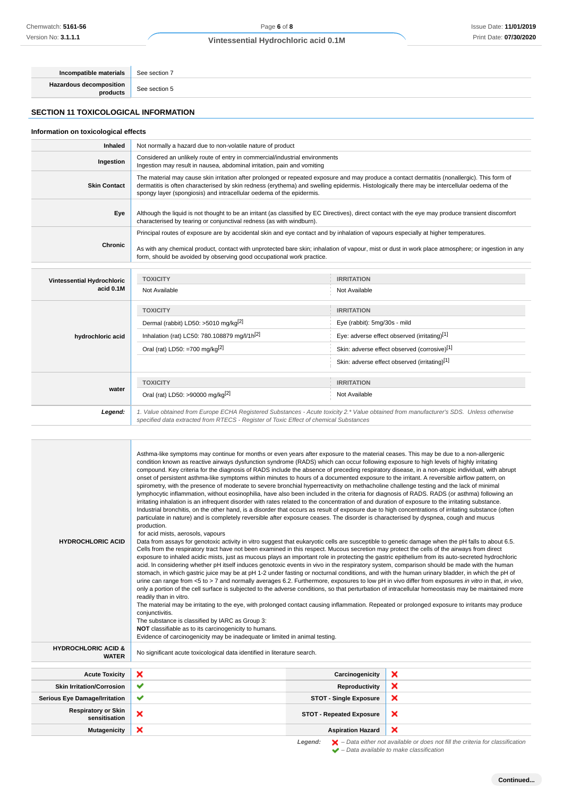# Page **6** of **8**

#### **Vintessential Hydrochloric acid 0.1M**

**Incompatible materials** See section 7 **Hazardous decomposition**

**products** See section 5

# **SECTION 11 TOXICOLOGICAL INFORMATION**

# **Information on toxicological effects Inhaled** Not normally a hazard due to non-volatile nature of product **Ingestion** Considered an unlikely route of entry in commercial/industrial environments Ingestion may result in nausea, abdominal irritation, pain and vomiting **Skin Contact** The material may cause skin irritation after prolonged or repeated exposure and may produce a contact dermatitis (nonallergic). This form of dermatitis is often characterised by skin redness (erythema) and swelling epidermis. Histologically there may be intercellular oedema of the spongy layer (spongiosis) and intracellular oedema of the epidermis. **Eye** Although the liquid is not thought to be an irritant (as classified by EC Directives), direct contact with the eye may produce transient discomfort characterised by tearing or conjunctival redness (as with windburn). **Chronic** Principal routes of exposure are by accidental skin and eye contact and by inhalation of vapours especially at higher temperatures. As with any chemical product, contact with unprotected bare skin; inhalation of vapour, mist or dust in work place atmosphere; or ingestion in any form, should be avoided by observing good occupational work practice. **Vintessential Hydrochloric acid 0.1M TOXICITY IRRITATION** Not Available Not Available **hydrochloric acid TOXICITY IRRITATION** Dermal (rabbit) LD50: >5010 mg/kg<sup>[2]</sup> Eye (rabbit): 5mg/30s - mild Inhalation (rat) LC50: 780.108879 mg/l/1h<sup>[2]</sup> Eye: adverse effect observed (irritating)<sup>[1]</sup> Oral (rat) LD50: =700 mg/kg<sup>[2]</sup> Skin: adverse effect observed (corrosive)<sup>[1]</sup> Skin: adverse effect observed (irritating)<sup>[1]</sup> **water TOXICITY IRRITATION** Oral (rat) LD50: >90000 mg/kg<sup>[2]</sup> Not Available **Legend:** 1. Value obtained from Europe ECHA Registered Substances - Acute toxicity 2.\* Value obtained from manufacturer's SDS. Unless otherwise specified data extracted from RTECS - Register of Toxic Effect of chemical Substances **Mutates of Excession**<br>
Mutates of Control 2. **We also that the second interaction and the second interaction and the second interaction and the second interaction and the second interaction and the second interaction an**

| <b>HYDROCHLORIC ACID</b>                                                                                                   | Asthma-like symptoms may continue for months or even years after exposure to the material ceases. This may be due to a non-allergenic<br>condition known as reactive airways dysfunction syndrome (RADS) which can occur following exposure to high levels of highly irritating<br>compound. Key criteria for the diagnosis of RADS include the absence of preceding respiratory disease, in a non-atopic individual, with abrupt<br>onset of persistent asthma-like symptoms within minutes to hours of a documented exposure to the irritant. A reversible airflow pattern, on<br>spirometry, with the presence of moderate to severe bronchial hyperreactivity on methacholine challenge testing and the lack of minimal<br>lymphocytic inflammation, without eosinophilia, have also been included in the criteria for diagnosis of RADS. RADS (or asthma) following an<br>irritating inhalation is an infrequent disorder with rates related to the concentration of and duration of exposure to the irritating substance.<br>Industrial bronchitis, on the other hand, is a disorder that occurs as result of exposure due to high concentrations of irritating substance (often<br>particulate in nature) and is completely reversible after exposure ceases. The disorder is characterised by dyspnea, cough and mucus<br>production.<br>for acid mists, aerosols, vapours<br>Data from assays for genotoxic activity in vitro suggest that eukaryotic cells are susceptible to genetic damage when the pH falls to about 6.5.<br>Cells from the respiratory tract have not been examined in this respect. Mucous secretion may protect the cells of the airways from direct<br>exposure to inhaled acidic mists, just as mucous plays an important role in protecting the gastric epithelium from its auto-secreted hydrochloric<br>acid. In considering whether pH itself induces genotoxic events in vivo in the respiratory system, comparison should be made with the human<br>stomach, in which gastric juice may be at pH 1-2 under fasting or nocturnal conditions, and with the human urinary bladder, in which the pH of<br>urine can range from <5 to > 7 and normally averages 6.2. Furthermore, exposures to low pH in vivo differ from exposures in vitro in that, in vivo,<br>only a portion of the cell surface is subjected to the adverse conditions, so that perturbation of intracellular homeostasis may be maintained more<br>readily than in vitro.<br>The material may be irritating to the eye, with prolonged contact causing inflammation. Repeated or prolonged exposure to irritants may produce<br>conjunctivitis.<br>The substance is classified by IARC as Group 3:<br>NOT classifiable as to its carcinogenicity to humans.<br>Evidence of carcinogenicity may be inadequate or limited in animal testing. |                                 |   |
|----------------------------------------------------------------------------------------------------------------------------|-----------------------------------------------------------------------------------------------------------------------------------------------------------------------------------------------------------------------------------------------------------------------------------------------------------------------------------------------------------------------------------------------------------------------------------------------------------------------------------------------------------------------------------------------------------------------------------------------------------------------------------------------------------------------------------------------------------------------------------------------------------------------------------------------------------------------------------------------------------------------------------------------------------------------------------------------------------------------------------------------------------------------------------------------------------------------------------------------------------------------------------------------------------------------------------------------------------------------------------------------------------------------------------------------------------------------------------------------------------------------------------------------------------------------------------------------------------------------------------------------------------------------------------------------------------------------------------------------------------------------------------------------------------------------------------------------------------------------------------------------------------------------------------------------------------------------------------------------------------------------------------------------------------------------------------------------------------------------------------------------------------------------------------------------------------------------------------------------------------------------------------------------------------------------------------------------------------------------------------------------------------------------------------------------------------------------------------------------------------------------------------------------------------------------------------------------------------------------------------------------------------------------------------------------------------------------------------------------------------------------------------------------------------------------------------------------------------------------------------------------------------------------------------------------------------------------------------------------------|---------------------------------|---|
| <b>HYDROCHLORIC ACID &amp;</b><br>No significant acute toxicological data identified in literature search.<br><b>WATER</b> |                                                                                                                                                                                                                                                                                                                                                                                                                                                                                                                                                                                                                                                                                                                                                                                                                                                                                                                                                                                                                                                                                                                                                                                                                                                                                                                                                                                                                                                                                                                                                                                                                                                                                                                                                                                                                                                                                                                                                                                                                                                                                                                                                                                                                                                                                                                                                                                                                                                                                                                                                                                                                                                                                                                                                                                                                                                     |                                 |   |
| <b>Acute Toxicity</b>                                                                                                      | ×                                                                                                                                                                                                                                                                                                                                                                                                                                                                                                                                                                                                                                                                                                                                                                                                                                                                                                                                                                                                                                                                                                                                                                                                                                                                                                                                                                                                                                                                                                                                                                                                                                                                                                                                                                                                                                                                                                                                                                                                                                                                                                                                                                                                                                                                                                                                                                                                                                                                                                                                                                                                                                                                                                                                                                                                                                                   | Carcinogenicity                 | × |
| <b>Skin Irritation/Corrosion</b>                                                                                           | ✔                                                                                                                                                                                                                                                                                                                                                                                                                                                                                                                                                                                                                                                                                                                                                                                                                                                                                                                                                                                                                                                                                                                                                                                                                                                                                                                                                                                                                                                                                                                                                                                                                                                                                                                                                                                                                                                                                                                                                                                                                                                                                                                                                                                                                                                                                                                                                                                                                                                                                                                                                                                                                                                                                                                                                                                                                                                   | Reproductivity                  | × |
| <b>Serious Eye Damage/Irritation</b>                                                                                       | ✔                                                                                                                                                                                                                                                                                                                                                                                                                                                                                                                                                                                                                                                                                                                                                                                                                                                                                                                                                                                                                                                                                                                                                                                                                                                                                                                                                                                                                                                                                                                                                                                                                                                                                                                                                                                                                                                                                                                                                                                                                                                                                                                                                                                                                                                                                                                                                                                                                                                                                                                                                                                                                                                                                                                                                                                                                                                   | <b>STOT - Single Exposure</b>   | × |
| <b>Respiratory or Skin</b><br>sensitisation                                                                                | ×                                                                                                                                                                                                                                                                                                                                                                                                                                                                                                                                                                                                                                                                                                                                                                                                                                                                                                                                                                                                                                                                                                                                                                                                                                                                                                                                                                                                                                                                                                                                                                                                                                                                                                                                                                                                                                                                                                                                                                                                                                                                                                                                                                                                                                                                                                                                                                                                                                                                                                                                                                                                                                                                                                                                                                                                                                                   | <b>STOT - Repeated Exposure</b> | × |
| <b>Mutagenicity</b>                                                                                                        | ×                                                                                                                                                                                                                                                                                                                                                                                                                                                                                                                                                                                                                                                                                                                                                                                                                                                                                                                                                                                                                                                                                                                                                                                                                                                                                                                                                                                                                                                                                                                                                                                                                                                                                                                                                                                                                                                                                                                                                                                                                                                                                                                                                                                                                                                                                                                                                                                                                                                                                                                                                                                                                                                                                                                                                                                                                                                   | <b>Aspiration Hazard</b>        | × |

Legend:  $\blacktriangleright$  - Data either not available or does not fill the criteria for classification  $\blacktriangleright$  – Data available to make classification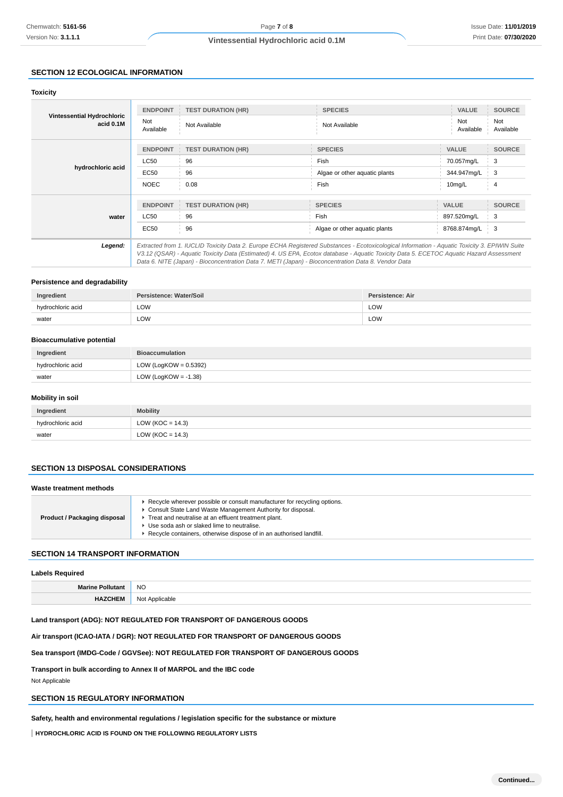# **SECTION 12 ECOLOGICAL INFORMATION**

| Chemwatch: 5161-56                                                                   |                          | Page 7 of 8                                                                                                                                                                                                                                                                                                                                                                                     |                               |                  |                           | <b>Issue Date: 11/01/201</b> |  |
|--------------------------------------------------------------------------------------|--------------------------|-------------------------------------------------------------------------------------------------------------------------------------------------------------------------------------------------------------------------------------------------------------------------------------------------------------------------------------------------------------------------------------------------|-------------------------------|------------------|---------------------------|------------------------------|--|
| Version No: 3.1.1.1                                                                  |                          | Vintessential Hydrochloric acid 0.1M                                                                                                                                                                                                                                                                                                                                                            |                               |                  |                           | Print Date: 07/30/202        |  |
|                                                                                      |                          |                                                                                                                                                                                                                                                                                                                                                                                                 |                               |                  |                           |                              |  |
| <b>SECTION 12 ECOLOGICAL INFORMATION</b>                                             |                          |                                                                                                                                                                                                                                                                                                                                                                                                 |                               |                  |                           |                              |  |
| <b>Toxicity</b>                                                                      |                          |                                                                                                                                                                                                                                                                                                                                                                                                 |                               |                  |                           |                              |  |
|                                                                                      | <b>ENDPOINT</b>          | <b>TEST DURATION (HR)</b>                                                                                                                                                                                                                                                                                                                                                                       | <b>SPECIES</b>                |                  | VALUE                     | <b>SOURCE</b>                |  |
| Vintessential Hydrochloric<br>acid 0.1M                                              | Not<br>Available         | Not Available                                                                                                                                                                                                                                                                                                                                                                                   | Not Available                 |                  | Not<br>Available          | Not<br>Available             |  |
|                                                                                      | <b>ENDPOINT</b>          | <b>TEST DURATION (HR)</b>                                                                                                                                                                                                                                                                                                                                                                       | <b>SPECIES</b>                |                  | <b>VALUE</b>              | <b>SOURCE</b>                |  |
|                                                                                      | LC50                     | 96                                                                                                                                                                                                                                                                                                                                                                                              | Fish                          |                  |                           | 3                            |  |
| hydrochloric acid                                                                    | EC50                     | 96                                                                                                                                                                                                                                                                                                                                                                                              | Algae or other aquatic plants |                  | 70.057mg/L<br>344.947mg/L | 3                            |  |
|                                                                                      | <b>NOEC</b>              | 0.08                                                                                                                                                                                                                                                                                                                                                                                            | Fish                          |                  | 10mg/L                    | 4                            |  |
|                                                                                      | <b>ENDPOINT</b>          | <b>TEST DURATION (HR)</b>                                                                                                                                                                                                                                                                                                                                                                       | <b>SPECIES</b>                |                  | VALUE                     | <b>SOURCE</b>                |  |
| water                                                                                | <b>LC50</b>              | 96                                                                                                                                                                                                                                                                                                                                                                                              | Fish                          |                  | 897.520mg/L               | 3                            |  |
|                                                                                      | EC50                     | 96                                                                                                                                                                                                                                                                                                                                                                                              | Algae or other aquatic plants |                  | 8768.874mg/L              | 3                            |  |
|                                                                                      |                          |                                                                                                                                                                                                                                                                                                                                                                                                 |                               |                  |                           |                              |  |
| Legend:                                                                              |                          | Extracted from 1. IUCLID Toxicity Data 2. Europe ECHA Registered Substances - Ecotoxicological Information - Aquatic Toxicity 3. EPIWIN Suite<br>V3.12 (QSAR) - Aquatic Toxicity Data (Estimated) 4. US EPA, Ecotox database - Aquatic Toxicity Data 5. ECETOC Aquatic Hazard Assessment<br>Data 6. NITE (Japan) - Bioconcentration Data 7. METI (Japan) - Bioconcentration Data 8. Vendor Data |                               |                  |                           |                              |  |
| Persistence and degradability                                                        |                          |                                                                                                                                                                                                                                                                                                                                                                                                 |                               |                  |                           |                              |  |
| Ingredient                                                                           | Persistence: Water/Soil  |                                                                                                                                                                                                                                                                                                                                                                                                 |                               | Persistence: Air |                           |                              |  |
| hydrochloric acid                                                                    | LOW                      |                                                                                                                                                                                                                                                                                                                                                                                                 |                               | LOW              |                           |                              |  |
| water                                                                                | LOW                      |                                                                                                                                                                                                                                                                                                                                                                                                 |                               | LOW              |                           |                              |  |
|                                                                                      |                          |                                                                                                                                                                                                                                                                                                                                                                                                 |                               |                  |                           |                              |  |
| <b>Bioaccumulative potential</b>                                                     |                          |                                                                                                                                                                                                                                                                                                                                                                                                 |                               |                  |                           |                              |  |
| Ingredient                                                                           | <b>Bioaccumulation</b>   |                                                                                                                                                                                                                                                                                                                                                                                                 |                               |                  |                           |                              |  |
| hydrochloric acid                                                                    | LOW (LogKOW = $0.5392$ ) |                                                                                                                                                                                                                                                                                                                                                                                                 |                               |                  |                           |                              |  |
| water                                                                                | LOW (LogKOW = $-1.38$ )  |                                                                                                                                                                                                                                                                                                                                                                                                 |                               |                  |                           |                              |  |
| <b>Mobility in soil</b>                                                              |                          |                                                                                                                                                                                                                                                                                                                                                                                                 |                               |                  |                           |                              |  |
| Ingredient                                                                           | <b>Mobility</b>          |                                                                                                                                                                                                                                                                                                                                                                                                 |                               |                  |                           |                              |  |
| hydrochloric acid                                                                    | LOW ( $KOC = 14.3$ )     |                                                                                                                                                                                                                                                                                                                                                                                                 |                               |                  |                           |                              |  |
| water                                                                                | LOW ( $KOC = 14.3$ )     |                                                                                                                                                                                                                                                                                                                                                                                                 |                               |                  |                           |                              |  |
|                                                                                      |                          |                                                                                                                                                                                                                                                                                                                                                                                                 |                               |                  |                           |                              |  |
| <b>SECTION 13 DISPOSAL CONSIDERATIONS</b>                                            |                          |                                                                                                                                                                                                                                                                                                                                                                                                 |                               |                  |                           |                              |  |
| Waste treatment methods                                                              |                          |                                                                                                                                                                                                                                                                                                                                                                                                 |                               |                  |                           |                              |  |
|                                                                                      |                          |                                                                                                                                                                                                                                                                                                                                                                                                 |                               |                  |                           |                              |  |
|                                                                                      |                          | ▶ Recycle wherever possible or consult manufacturer for recycling options.<br>Consult State Land Waste Management Authority for disposal.                                                                                                                                                                                                                                                       |                               |                  |                           |                              |  |
| <b>Product / Packaging disposal</b>                                                  |                          | Treat and neutralise at an effluent treatment plant.<br>Use soda ash or slaked lime to neutralise.                                                                                                                                                                                                                                                                                              |                               |                  |                           |                              |  |
|                                                                                      |                          | Recycle containers, otherwise dispose of in an authorised landfill.                                                                                                                                                                                                                                                                                                                             |                               |                  |                           |                              |  |
| <b>SECTION 14 TRANSPORT INFORMATION</b>                                              |                          |                                                                                                                                                                                                                                                                                                                                                                                                 |                               |                  |                           |                              |  |
| <b>Labels Required</b>                                                               |                          |                                                                                                                                                                                                                                                                                                                                                                                                 |                               |                  |                           |                              |  |
| <b>Marine Pollutant</b>                                                              | <b>NO</b>                |                                                                                                                                                                                                                                                                                                                                                                                                 |                               |                  |                           |                              |  |
| <b>HAZCHEM</b>                                                                       | Not Applicable           |                                                                                                                                                                                                                                                                                                                                                                                                 |                               |                  |                           |                              |  |
|                                                                                      |                          | Land transport (ADG): NOT REGULATED FOR TRANSPORT OF DANGEROUS GOODS                                                                                                                                                                                                                                                                                                                            |                               |                  |                           |                              |  |
|                                                                                      |                          | Air transport (ICAO-IATA / DGR): NOT REGULATED FOR TRANSPORT OF DANGEROUS GOODS                                                                                                                                                                                                                                                                                                                 |                               |                  |                           |                              |  |
|                                                                                      |                          | Sea transport (IMDG-Code / GGVSee): NOT REGULATED FOR TRANSPORT OF DANGEROUS GOODS                                                                                                                                                                                                                                                                                                              |                               |                  |                           |                              |  |
|                                                                                      |                          |                                                                                                                                                                                                                                                                                                                                                                                                 |                               |                  |                           |                              |  |
| Transport in bulk according to Annex II of MARPOL and the IBC code<br>Not Applicable |                          |                                                                                                                                                                                                                                                                                                                                                                                                 |                               |                  |                           |                              |  |
| <b>SECTION 15 REGULATORY INFORMATION</b>                                             |                          |                                                                                                                                                                                                                                                                                                                                                                                                 |                               |                  |                           |                              |  |
|                                                                                      |                          | Safety, health and environmental regulations / legislation specific for the substance or mixture                                                                                                                                                                                                                                                                                                |                               |                  |                           |                              |  |
|                                                                                      |                          |                                                                                                                                                                                                                                                                                                                                                                                                 |                               |                  |                           |                              |  |
| HYDROCHLORIC ACID IS FOUND ON THE FOLLOWING REGULATORY LISTS                         |                          |                                                                                                                                                                                                                                                                                                                                                                                                 |                               |                  |                           |                              |  |

#### **Persistence and degradability**

| Ingredient        | Persistence: Water/Soil | Persistence: Air |
|-------------------|-------------------------|------------------|
| hvdrochloric acid | LOW                     | LOW              |
| water             | LOW                     | LOW              |

#### **Bioaccumulative potential**

| Ingredient        | <b>Bioaccumulation</b>   |
|-------------------|--------------------------|
| hydrochloric acid | LOW (LogKOW = $0.5392$ ) |
| water             | LOW (LogKOW = $-1.38$ )  |

# **Mobility in soil**

| Ingredient        | <b>Mobility</b>      |
|-------------------|----------------------|
| hydrochloric acid | LOW ( $KOC = 14.3$ ) |
| water             | LOW (KOC = $14.3$ )  |

#### **SECTION 13 DISPOSAL CONSIDERATIONS**

#### **Waste treatment methods**

| Product / Packaging disposal | Recycle wherever possible or consult manufacturer for recycling options.<br>Consult State Land Waste Management Authority for disposal.<br>Treat and neutralise at an effluent treatment plant.<br>Use soda ash or slaked lime to neutralise.<br>Recycle containers, otherwise dispose of in an authorised landfill. |
|------------------------------|----------------------------------------------------------------------------------------------------------------------------------------------------------------------------------------------------------------------------------------------------------------------------------------------------------------------|
|------------------------------|----------------------------------------------------------------------------------------------------------------------------------------------------------------------------------------------------------------------------------------------------------------------------------------------------------------------|

# **SECTION 14 TRANSPORT INFORMATION**

#### **Labels Required**

| NC. |
|-----|
|     |

#### **Land transport (ADG): NOT REGULATED FOR TRANSPORT OF DANGEROUS GOODS**

# **SECTION 15 REGULATORY INFORMATION**